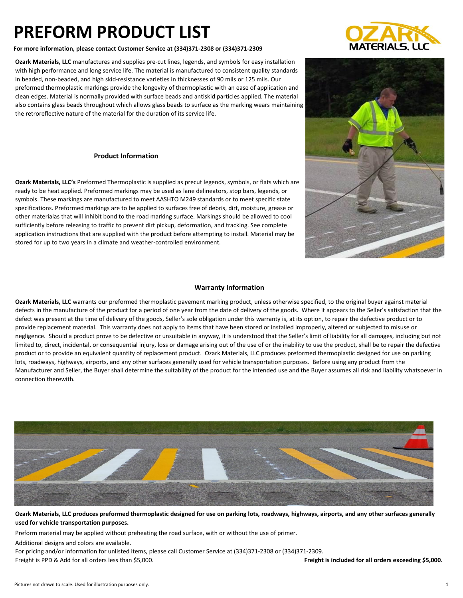**For more information, please contact Customer Service at (334)371-2308 or (334)371-2309**

**Ozark Materials, LLC** manufactures and supplies pre-cut lines, legends, and symbols for easy installation with high performance and long service life. The material is manufactured to consistent quality standards in beaded, non-beaded, and high skid-resistance varieties in thicknesses of 90 mils or 125 mils. Our preformed thermoplastic markings provide the longevity of thermoplastic with an ease of application and clean edges. Material is normally provided with surface beads and antiskid particles applied. The material also contains glass beads throughout which allows glass beads to surface as the marking wears maintaining the retroreflective nature of the material for the duration of its service life.

#### **Product Information**

**Ozark Materials, LLC's** Preformed Thermoplastic is supplied as precut legends, symbols, or flats which are ready to be heat applied. Preformed markings may be used as lane delineators, stop bars, legends, or symbols. These markings are manufactured to meet AASHTO M249 standards or to meet specific state specifications. Preformed markings are to be applied to surfaces free of debris, dirt, moisture, grease or other materialas that will inhibit bond to the road marking surface. Markings should be allowed to cool sufficiently before releasing to traffic to prevent dirt pickup, deformation, and tracking. See complete application instructions that are supplied with the product before attempting to install. Material may be stored for up to two years in a climate and weather-controlled environment.

#### **Warranty Information**

**Ozark Materials, LLC** warrants our preformed thermoplastic pavement marking product, unless otherwise specified, to the original buyer against material defects in the manufacture of the product for a period of one year from the date of delivery of the goods. Where it appears to the Seller's satisfaction that the defect was present at the time of delivery of the goods, Seller's sole obligation under this warranty is, at its option, to repair the defective product or to provide replacement material. This warranty does not apply to items that have been stored or installed improperly, altered or subjected to misuse or negligence. Should a product prove to be defective or unsuitable in anyway, it is understood that the Seller's limit of liability for all damages, including but not limited to, direct, incidental, or consequential injury, loss or damage arising out of the use of or the inability to use the product, shall be to repair the defective product or to provide an equivalent quantity of replacement product. Ozark Materials, LLC produces preformed thermoplastic designed for use on parking lots, roadways, highways, airports, and any other surfaces generally used for vehicle transportation purposes. Before using any product from the Manufacturer and Seller, the Buyer shall determine the suitability of the product for the intended use and the Buyer assumes all risk and liability whatsoever in connection therewith.



**Ozark Materials, LLC produces preformed thermoplastic designed for use on parking lots, roadways, highways, airports, and any other surfaces generally used for vehicle transportation purposes.** 

Preform material may be applied without preheating the road surface, with or without the use of primer.

Additional designs and colors are available.

For pricing and/or information for unlisted items, please call Customer Service at (334)371-2308 or (334)371-2309. Freight is PPD & Add for all orders less than \$5,000. **Freight is included for all orders exceeding \$5,000.**



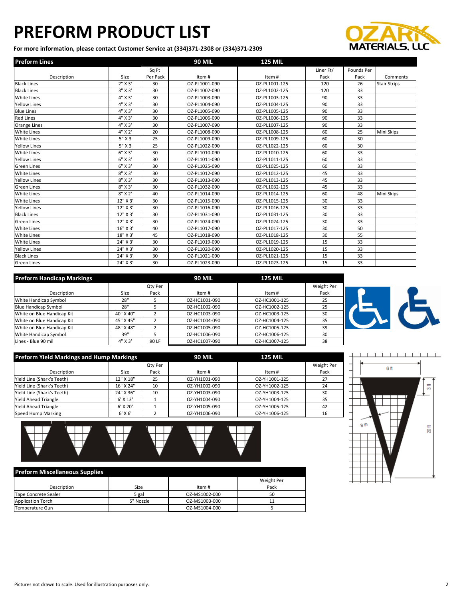**For more information, please contact Customer Service at (334)371-2308 or (334)371-2309**



| <b>Preform Lines</b> |              |          | <b>90 MIL</b> | <b>125 MIL</b> |           |            |                     |
|----------------------|--------------|----------|---------------|----------------|-----------|------------|---------------------|
|                      |              | Sq Ft    |               |                | Liner Ft/ | Pounds Per |                     |
| Description          | Size         | Per Pack | Item#         | Item#          | Pack      | Pack       | Comments            |
| <b>Black Lines</b>   | 2" X 3'      | 30       | OZ-PL1001-090 | OZ-PL1001-125  | 120       | 26         | <b>Stair Strips</b> |
| <b>Black Lines</b>   | $3''$ X $3'$ | 30       | OZ-PL1002-090 | OZ-PL1002-125  | 120       | 33         |                     |
| White Lines          | 4" X 3'      | 30       | OZ-PL1003-090 | OZ-PL1003-125  | 90        | 33         |                     |
| <b>Yellow Lines</b>  | 4" X 3'      | 30       | OZ-PL1004-090 | OZ-PL1004-125  | 90        | 33         |                     |
| <b>Blue Lines</b>    | 4" X 3'      | 30       | OZ-PL1005-090 | OZ-PL1005-125  | 90        | 33         |                     |
| <b>Red Lines</b>     | 4" X 3'      | 30       | OZ-PL1006-090 | OZ-PL1006-125  | 90        | 33         |                     |
| Orange Lines         | 4" X 3'      | 30       | OZ-PL1007-090 | OZ-PL1007-125  | 90        | 33         |                     |
| <b>White Lines</b>   | 4" X 2'      | 20       | OZ-PL1008-090 | OZ-PL1008-125  | 60        | 25         | Mini Skips          |
| <b>White Lines</b>   | $5"$ X 3     | 25       | OZ-PL1009-090 | OZ-PL1009-125  | 60        | 30         |                     |
| <b>Yellow Lines</b>  | $5"$ X 3     | 25       | OZ-PL1022-090 | OZ-PL1022-125  | 60        | 30         |                     |
| White Lines          | $6''$ X 3'   | 30       | OZ-PL1010-090 | OZ-PL1010-125  | 60        | 33         |                     |
| <b>Yellow Lines</b>  | $6''$ X 3'   | 30       | OZ-PL1011-090 | OZ-PL1011-125  | 60        | 33         |                     |
| <b>Green Lines</b>   | $6''$ X 3'   | 30       | OZ-PL1025-090 | OZ-PL1025-125  | 60        | 33         |                     |
| <b>White Lines</b>   | $8''$ X 3'   | 30       | OZ-PL1012-090 | OZ-PL1012-125  | 45        | 33         |                     |
| <b>Yellow Lines</b>  | $8''$ X 3'   | 30       | OZ-PL1013-090 | OZ-PL1013-125  | 45        | 33         |                     |
| <b>Green Lines</b>   | $8''$ X 3'   | 30       | OZ-PL1032-090 | OZ-PL1032-125  | 45        | 33         |                     |
| White Lines          | $8"$ X 2'    | 40       | OZ-PL1014-090 | OZ-PL1014-125  | 60        | 48         | Mini Skips          |
| <b>White Lines</b>   | 12" X 3'     | 30       | OZ-PL1015-090 | OZ-PL1015-125  | 30        | 33         |                     |
| <b>Yellow Lines</b>  | 12" X 3'     | 30       | OZ-PL1016-090 | OZ-PL1016-125  | 30        | 33         |                     |
| <b>Black Lines</b>   | 12" X 3'     | 30       | OZ-PL1031-090 | OZ-PL1031-125  | 30        | 33         |                     |
| <b>Green Lines</b>   | 12" X 3'     | 30       | OZ-PL1024-090 | OZ-PL1024-125  | 30        | 33         |                     |
| White Lines          | 16" X 3'     | 40       | OZ-PL1017-090 | OZ-PL1017-125  | 30        | 50         |                     |
| <b>White Lines</b>   | 18" X 3'     | 45       | OZ-PL1018-090 | OZ-PL1018-125  | 30        | 55         |                     |
| <b>White Lines</b>   | 24" X 3'     | 30       | OZ-PL1019-090 | OZ-PL1019-125  | 15        | 33         |                     |
| <b>Yellow Lines</b>  | 24" X 3'     | 30       | OZ-PL1020-090 | OZ-PL1020-125  | 15        | 33         |                     |
| <b>Black Lines</b>   | 24" X 3'     | 30       | OZ-PL1021-090 | OZ-PL1021-125  | 15        | 33         |                     |
| <b>Green Lines</b>   | 24" X 3'     | 30       | OZ-PL1023-090 | OZ-PL1023-125  | 15        | 33         |                     |

| <b>Preform Handicap Markings</b> |           |         | <b>90 MIL</b> | <b>125 MIL</b> |            |
|----------------------------------|-----------|---------|---------------|----------------|------------|
|                                  |           | Qty Per |               |                | Weight Per |
| Description                      | Size      | Pack    | Item#         | Item #         | Pack       |
| White Handicap Symbol            | 28"       |         | OZ-HC1001-090 | OZ-HC1001-125  | 25         |
| <b>Blue Handicap Symbol</b>      | 28"       |         | OZ-HC1002-090 | OZ-HC1002-125  | 25         |
| White on Blue Handicap Kit       | 40" X 40" |         | OZ-HC1003-090 | OZ-HC1003-125  | 30         |
| White on Blue Handicap Kit       | 45" X 45" |         | OZ-HC1004-090 | OZ-HC1004-125  | 35         |
| White on Blue Handicap Kit       | 48" X 48" |         | OZ-HC1005-090 | OZ-HC1005-125  | 39         |
| White Handicap Symbol            | 39"       |         | OZ-HC1006-090 | OZ-HC1006-125  | 30         |
| Lines - Blue 90 mil              | 4" X 3'   | 90 LF   | OZ-HC1007-090 | OZ-HC1007-125  | 38         |



| <b>Preform Yield Markings and Hump Markings</b> |             |         | <b>90 MIL</b> | <b>125 MIL</b> |            |
|-------------------------------------------------|-------------|---------|---------------|----------------|------------|
|                                                 |             | Qty Per |               |                | Weight Per |
| Description                                     | Size        | Pack    | Item#         | Item #         | Pack       |
| Yield Line (Shark's Teeth)                      | 12" X 18"   | 25      | OZ-YH1001-090 | OZ-YH1001-125  | 27         |
| Yield Line (Shark's Teeth)                      | 16" X 24"   | 10      | OZ-YH1002-090 | OZ-YH1002-125  | 24         |
| Yield Line (Shark's Teeth)                      | 24" X 36"   | 10      | OZ-YH1003-090 | OZ-YH1003-125  | 30         |
| <b>Yield Ahead Triangle</b>                     | $6'$ X 13'  |         | OZ-YH1004-090 | OZ-YH1004-125  | 35         |
| <b>Yield Ahead Triangle</b>                     | $6'$ X 20'  |         | OZ-YH1005-090 | OZ-YH1005-125  | 42         |
| Speed Hump Marking                              | $6'$ X $6'$ |         | OZ-YH1006-090 | OZ-YH1006-125  | 16         |



|                          |           |               | Weight Per |
|--------------------------|-----------|---------------|------------|
| Description              | Size      | Item#         | Pack       |
| Tape Concrete Sealer     | 5 gal     | OZ-MS1002-000 | 50         |
| <b>Application Torch</b> | 5" Nozzle | OZ-MS1003-000 |            |
| Temperature Gun          |           | OZ-MS1004-000 |            |

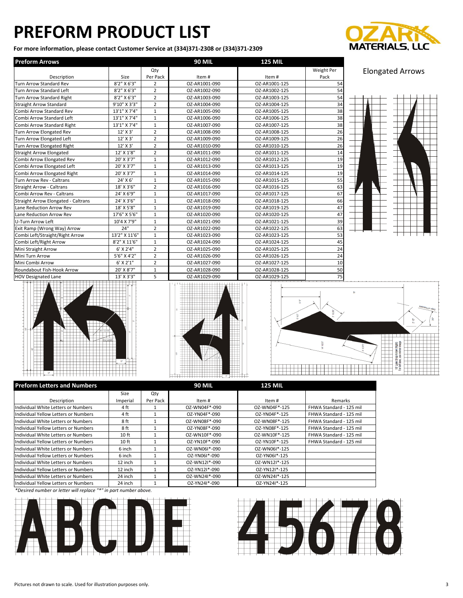**For more information, please contact Customer Service at (334)371-2308 or (334)371-2309**



| <b>Preform Arrows</b>                      |               |                | <b>90 MIL</b> | <b>125 MIL</b> |                 |
|--------------------------------------------|---------------|----------------|---------------|----------------|-----------------|
|                                            |               | Qty            |               |                | Weight Per      |
| Description                                | Size          | Per Pack       | Item#         | Item#          | Pack            |
| <b>Turn Arrow Standard Rev</b>             | 8'2" X 6'3"   | $\overline{2}$ | OZ-AR1001-090 | OZ-AR1001-125  | 54              |
| <b>Turn Arrow Standard Left</b>            | 8'2" X 6'3"   | $\overline{2}$ | OZ-AR1002-090 | OZ-AR1002-125  | 54              |
| <b>Turn Arrow Standard Right</b>           | 8'2" X 6'3"   | $\overline{2}$ | OZ-AR1003-090 | OZ-AR1003-125  | 54              |
| <b>Straight Arrow Standard</b>             | 9'10" X 3'3"  | $\overline{2}$ | OZ-AR1004-090 | OZ-AR1004-125  | 34              |
| Combi Arrow Standard Rev                   | 13'1" X 7'4"  | $\mathbf{1}$   | OZ-AR1005-090 | OZ-AR1005-125  | 38              |
| Combi Arrow Standard Left                  | 13'1" X 7'4"  | $\mathbf{1}$   | OZ-AR1006-090 | OZ-AR1006-125  | 38              |
| Combi Arrow Standard Right                 | 13'1" X 7'4"  | $\mathbf{1}$   | OZ-AR1007-090 | OZ-AR1007-125  | 38              |
| Turn Arrow Elongated Rev                   | 12' X 3'      | $\overline{2}$ | OZ-AR1008-090 | OZ-AR1008-125  | $\overline{26}$ |
| Turn Arrow Elongated Left                  | 12' X 3'      | $\overline{2}$ | OZ-AR1009-090 | OZ-AR1009-125  | 26              |
| Turn Arrow Elongated Right                 | 12' X 3'      | $\overline{2}$ | OZ-AR1010-090 | OZ-AR1010-125  | 26              |
| <b>Straight Arrow Elongated</b>            | 12' X 1'8"    | $\overline{2}$ | OZ-AR1011-090 | OZ-AR1011-125  | 14              |
| Combi Arrow Elongated Rev                  | 20' X 3'7"    | $\mathbf{1}$   | OZ-AR1012-090 | OZ-AR1012-125  | 19              |
| Combi Arrow Elongated Left                 | 20' X 3'7"    | $\mathbf{1}$   | OZ-AR1013-090 | OZ-AR1013-125  | 19              |
| Combi Arrow Elongated Right                | 20' X 3'7"    | $\mathbf{1}$   | OZ-AR1014-090 | OZ-AR1014-125  | 19              |
| Turn Arrow Rev - Caltrans                  | 24' X 6'      | $\mathbf{1}$   | OZ-AR1015-090 | OZ-AR1015-125  | 55              |
| <b>Straight Arrow - Caltrans</b>           | 18' X 3'6"    | $\overline{2}$ | OZ-AR1016-090 | OZ-AR1016-125  | 63              |
| Combi Arrow Rev - Caltrans                 | 24' X 6'9"    | $\mathbf{1}$   | OZ-AR1017-090 | OZ-AR1017-125  | 67              |
| <b>Straight Arrow Elongated - Caltrans</b> | 24' X 3'6"    | $\mathbf{1}$   | OZ-AR1018-090 | OZ-AR1018-125  | 66              |
| Lane Reduction Arrow Rev                   | 18' X 5'8"    | $\mathbf{1}$   | OZ-AR1019-090 | OZ-AR1019-125  | 47              |
| Lane Reduction Arrow Rev                   | 17'6" X 5'6"  | $\mathbf{1}$   | OZ-AR1020-090 | OZ-AR1020-125  | 47              |
| <b>U-Turn Arrow Left</b>                   | 10'4 X 7'9"   | $\mathbf{1}$   | OZ-AR1021-090 | OZ-AR1021-125  | 39              |
| Exit Ramp (Wrong Way) Arrow                | 24"           | $\overline{2}$ | OZ-AR1022-090 | OZ-AR1022-125  | 63              |
| Combi Left/Straight/Right Arrow            | 13'2" X 11'6" | $\mathbf{1}$   | OZ-AR1023-090 | OZ-AR1023-125  | 53              |
| Combi Left/Right Arrow                     | 8'2" X 11'6"  | $\mathbf{1}$   | OZ-AR1024-090 | OZ-AR1024-125  | 45              |
| Mini Straight Arrow                        | 6' X 2'4"     | $\overline{2}$ | OZ-AR1025-090 | OZ-AR1025-125  | 24              |
| Mini Turn Arrow                            | 5'6" X 4'2"   | $\overline{2}$ | OZ-AR1026-090 | OZ-AR1026-125  | 24              |
| Mini Combi Arrow                           | $6'$ X 2'1"   | $\overline{2}$ | OZ-AR1027-090 | OZ-AR1027-125  | 10              |
| Roundabout Fish-Hook Arrow                 | 20' X 8'7"    | $\mathbf{1}$   | OZ-AR1028-090 | OZ-AR1028-125  | 50              |
| <b>HOV Designated Lane</b>                 | 13' X 3'3"    | 5              | OZ-AR1029-090 | OZ-AR1029-125  | 75              |

#### Elongated Arrows









| <b>Preform Letters and Numbers</b>   |                  |          | <b>90 MIL</b> | <b>125 MIL</b> |                         |
|--------------------------------------|------------------|----------|---------------|----------------|-------------------------|
|                                      | Size             | Qty      |               |                |                         |
| Description                          | Imperial         | Per Pack | Item#         | Item#          | Remarks                 |
| Individual White Letters or Numbers  | 4 ft             |          | OZ-WN04F*-090 | OZ-WN04F*-125  | FHWA Standard - 125 mil |
| Individual Yellow Letters or Numbers | 4 ft             |          | OZ-YN04F*-090 | OZ-YN04F*-125  | FHWA Standard - 125 mil |
| Individual White Letters or Numbers  | 8 ft             |          | OZ-WN08F*-090 | OZ-WN08F*-125  | FHWA Standard - 125 mil |
| Individual Yellow Letters or Numbers | 8 ft             |          | OZ-YN08F*-090 | OZ-YN08F*-125  | FHWA Standard - 125 mil |
| Individual White Letters or Numbers  | 10 <sub>ft</sub> |          | OZ-WN10F*-090 | OZ-WN10F*-125  | FHWA Standard - 125 mil |
| Individual Yellow Letters or Numbers | 10 <sub>ft</sub> |          | OZ-YN10F*-090 | OZ-YN10F*-125  | FHWA Standard - 125 mil |
| Individual White Letters or Numbers  | 6 inch           |          | OZ-WN061*-090 | OZ-WN06I*-125  |                         |
| Individual Yellow Letters or Numbers | 6 inch           |          | OZ-YN061*-090 | OZ-YN061*-125  |                         |
| Individual White Letters or Numbers  | 12 inch          |          | OZ-WN12I*-090 | OZ-WN12I*-125  |                         |
| Individual Yellow Letters or Numbers | 12 inch          |          | OZ-YN121*-090 | OZ-YN121*-125  |                         |
| Individual White Letters or Numbers  | 24 inch          |          | OZ-WN24I*-090 | OZ-WN24I*-125  |                         |
| Individual Yellow Letters or Numbers | 24 inch          |          | OZ-YN241*-090 | OZ-YN241*-125  |                         |

*\*Desired number or letter will replace "\*" in part number above.*